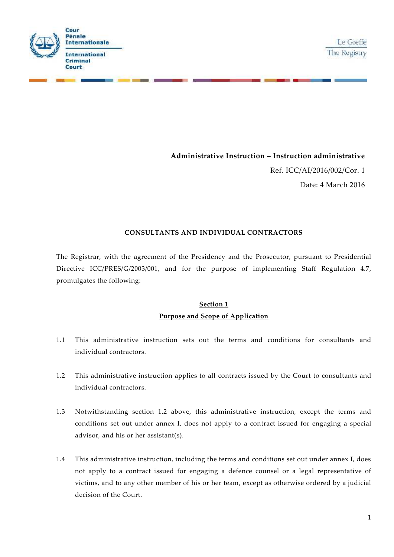



# **Administrative Instruction – Instruction administrative**

Ref. ICC/AI/2016/002/Cor. 1 Date: 4 March 2016

# **CONSULTANTS AND INDIVIDUAL CONTRACTORS**

The Registrar, with the agreement of the Presidency and the Prosecutor, pursuant to Presidential Directive ICC/PRES/G/2003/001, and for the purpose of implementing Staff Regulation 4.7, promulgates the following:

# **Section 1 Purpose and Scope of Application**

- 1.1 This administrative instruction sets out the terms and conditions for consultants and individual contractors.
- 1.2 This administrative instruction applies to all contracts issued by the Court to consultants and individual contractors.
- 1.3 Notwithstanding section 1.2 above, this administrative instruction, except the terms and conditions set out under annex I, does not apply to a contract issued for engaging a special advisor, and his or her assistant(s).
- 1.4 This administrative instruction, including the terms and conditions set out under annex I, does not apply to a contract issued for engaging a defence counsel or a legal representative of victims, and to any other member of his or her team, except as otherwise ordered by a judicial decision of the Court.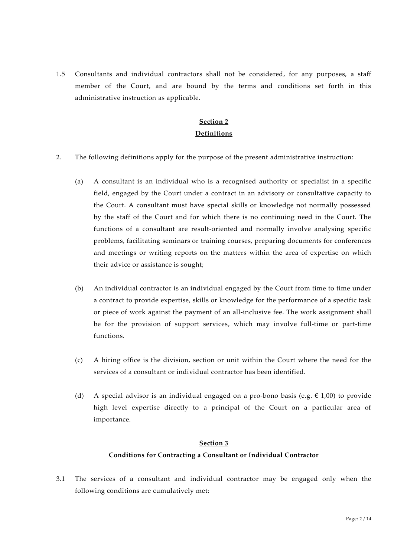1.5 Consultants and individual contractors shall not be considered, for any purposes, a staff member of the Court, and are bound by the terms and conditions set forth in this administrative instruction as applicable.

# **Section 2 Definitions**

- 2. The following definitions apply for the purpose of the present administrative instruction:
	- (a) A consultant is an individual who is a recognised authority or specialist in a specific field, engaged by the Court under a contract in an advisory or consultative capacity to the Court. A consultant must have special skills or knowledge not normally possessed by the staff of the Court and for which there is no continuing need in the Court. The functions of a consultant are result-oriented and normally involve analysing specific problems, facilitating seminars or training courses, preparing documents for conferences and meetings or writing reports on the matters within the area of expertise on which their advice or assistance is sought;
	- (b) An individual contractor is an individual engaged by the Court from time to time under a contract to provide expertise, skills or knowledge for the performance of a specific task or piece of work against the payment of an all-inclusive fee. The work assignment shall be for the provision of support services, which may involve full-time or part-time functions.
	- (c) A hiring office is the division, section or unit within the Court where the need for the services of a consultant or individual contractor has been identified.
	- (d) A special advisor is an individual engaged on a pro-bono basis (e.g.  $\epsilon$  1,00) to provide high level expertise directly to a principal of the Court on a particular area of importance.

## **Section 3**

## **Conditions for Contracting a Consultant or Individual Contractor**

3.1 The services of a consultant and individual contractor may be engaged only when the following conditions are cumulatively met: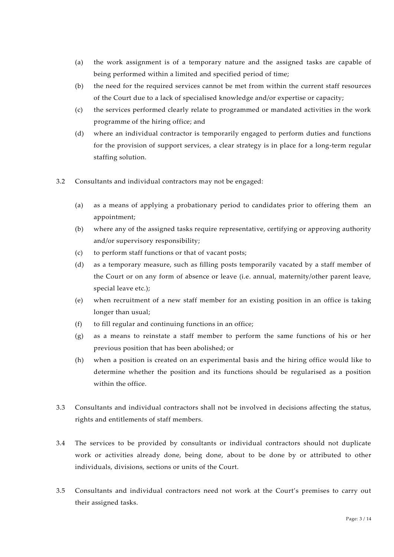- (a) the work assignment is of a temporary nature and the assigned tasks are capable of being performed within a limited and specified period of time;
- (b) the need for the required services cannot be met from within the current staff resources of the Court due to a lack of specialised knowledge and/or expertise or capacity;
- (c) the services performed clearly relate to programmed or mandated activities in the work programme of the hiring office; and
- (d) where an individual contractor is temporarily engaged to perform duties and functions for the provision of support services, a clear strategy is in place for a long-term regular staffing solution.
- 3.2 Consultants and individual contractors may not be engaged:
	- (a) as a means of applying a probationary period to candidates prior to offering them an appointment;
	- (b) where any of the assigned tasks require representative, certifying or approving authority and/or supervisory responsibility;
	- (c) to perform staff functions or that of vacant posts;
	- (d) as a temporary measure, such as filling posts temporarily vacated by a staff member of the Court or on any form of absence or leave (i.e. annual, maternity/other parent leave, special leave etc.);
	- (e) when recruitment of a new staff member for an existing position in an office is taking longer than usual;
	- (f) to fill regular and continuing functions in an office;
	- (g) as a means to reinstate a staff member to perform the same functions of his or her previous position that has been abolished; or
	- (h) when a position is created on an experimental basis and the hiring office would like to determine whether the position and its functions should be regularised as a position within the office.
- 3.3 Consultants and individual contractors shall not be involved in decisions affecting the status, rights and entitlements of staff members.
- 3.4 The services to be provided by consultants or individual contractors should not duplicate work or activities already done, being done, about to be done by or attributed to other individuals, divisions, sections or units of the Court.
- 3.5 Consultants and individual contractors need not work at the Court's premises to carry out their assigned tasks.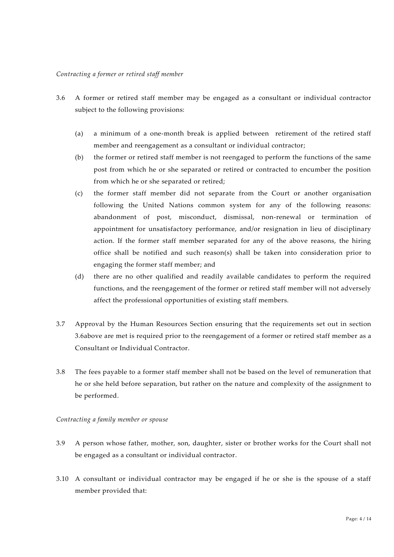#### *Contracting a former or retired staff member*

- 3.6 A former or retired staff member may be engaged as a consultant or individual contractor subject to the following provisions:
	- (a) a minimum of a one-month break is applied between retirement of the retired staff member and reengagement as a consultant or individual contractor;
	- (b) the former or retired staff member is not reengaged to perform the functions of the same post from which he or she separated or retired or contracted to encumber the position from which he or she separated or retired;
	- (c) the former staff member did not separate from the Court or another organisation following the United Nations common system for any of the following reasons: abandonment of post, misconduct, dismissal, non-renewal or termination of appointment for unsatisfactory performance, and/or resignation in lieu of disciplinary action. If the former staff member separated for any of the above reasons, the hiring office shall be notified and such reason(s) shall be taken into consideration prior to engaging the former staff member; and
	- (d) there are no other qualified and readily available candidates to perform the required functions, and the reengagement of the former or retired staff member will not adversely affect the professional opportunities of existing staff members.
- 3.7 Approval by the Human Resources Section ensuring that the requirements set out in section 3.6above are met is required prior to the reengagement of a former or retired staff member as a Consultant or Individual Contractor.
- 3.8 The fees payable to a former staff member shall not be based on the level of remuneration that he or she held before separation, but rather on the nature and complexity of the assignment to be performed.

#### *Contracting a family member or spouse*

- 3.9 A person whose father, mother, son, daughter, sister or brother works for the Court shall not be engaged as a consultant or individual contractor.
- 3.10 A consultant or individual contractor may be engaged if he or she is the spouse of a staff member provided that: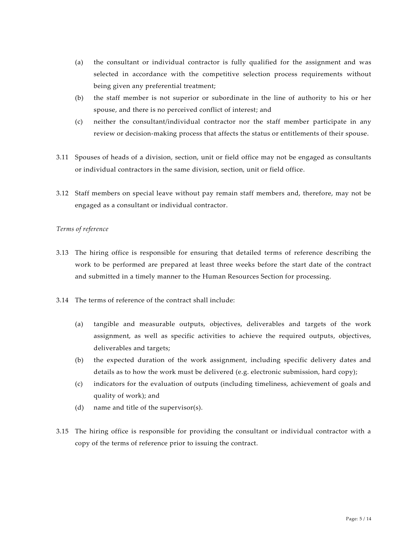- (a) the consultant or individual contractor is fully qualified for the assignment and was selected in accordance with the competitive selection process requirements without being given any preferential treatment;
- (b) the staff member is not superior or subordinate in the line of authority to his or her spouse, and there is no perceived conflict of interest; and
- (c) neither the consultant/individual contractor nor the staff member participate in any review or decision-making process that affects the status or entitlements of their spouse.
- 3.11 Spouses of heads of a division, section, unit or field office may not be engaged as consultants or individual contractors in the same division, section, unit or field office.
- 3.12 Staff members on special leave without pay remain staff members and, therefore, may not be engaged as a consultant or individual contractor.

## *Terms of reference*

- 3.13 The hiring office is responsible for ensuring that detailed terms of reference describing the work to be performed are prepared at least three weeks before the start date of the contract and submitted in a timely manner to the Human Resources Section for processing.
- 3.14 The terms of reference of the contract shall include:
	- (a) tangible and measurable outputs, objectives, deliverables and targets of the work assignment, as well as specific activities to achieve the required outputs, objectives, deliverables and targets;
	- (b) the expected duration of the work assignment, including specific delivery dates and details as to how the work must be delivered (e.g. electronic submission, hard copy);
	- (c) indicators for the evaluation of outputs (including timeliness, achievement of goals and quality of work); and
	- (d) name and title of the supervisor(s).
- 3.15 The hiring office is responsible for providing the consultant or individual contractor with a copy of the terms of reference prior to issuing the contract.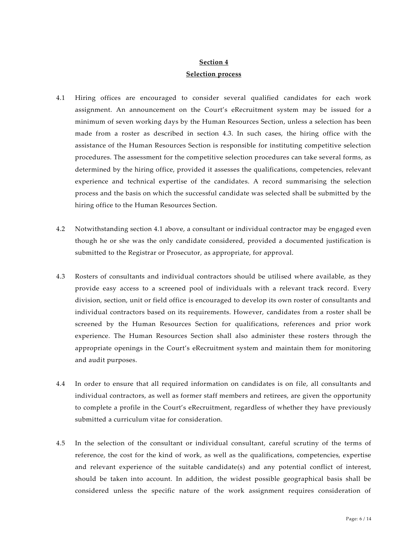# **Section 4 Selection process**

- 4.1 Hiring offices are encouraged to consider several qualified candidates for each work assignment. An announcement on the Court's eRecruitment system may be issued for a minimum of seven working days by the Human Resources Section, unless a selection has been made from a roster as described in section 4.3. In such cases, the hiring office with the assistance of the Human Resources Section is responsible for instituting competitive selection procedures. The assessment for the competitive selection procedures can take several forms, as determined by the hiring office, provided it assesses the qualifications, competencies, relevant experience and technical expertise of the candidates. A record summarising the selection process and the basis on which the successful candidate was selected shall be submitted by the hiring office to the Human Resources Section.
- 4.2 Notwithstanding section 4.1 above, a consultant or individual contractor may be engaged even though he or she was the only candidate considered, provided a documented justification is submitted to the Registrar or Prosecutor, as appropriate, for approval.
- 4.3 Rosters of consultants and individual contractors should be utilised where available, as they provide easy access to a screened pool of individuals with a relevant track record. Every division, section, unit or field office is encouraged to develop its own roster of consultants and individual contractors based on its requirements. However, candidates from a roster shall be screened by the Human Resources Section for qualifications, references and prior work experience. The Human Resources Section shall also administer these rosters through the appropriate openings in the Court's eRecruitment system and maintain them for monitoring and audit purposes.
- 4.4 In order to ensure that all required information on candidates is on file, all consultants and individual contractors, as well as former staff members and retirees, are given the opportunity to complete a profile in the Court's eRecruitment, regardless of whether they have previously submitted a curriculum vitae for consideration.
- 4.5 In the selection of the consultant or individual consultant, careful scrutiny of the terms of reference, the cost for the kind of work, as well as the qualifications, competencies, expertise and relevant experience of the suitable candidate(s) and any potential conflict of interest, should be taken into account. In addition, the widest possible geographical basis shall be considered unless the specific nature of the work assignment requires consideration of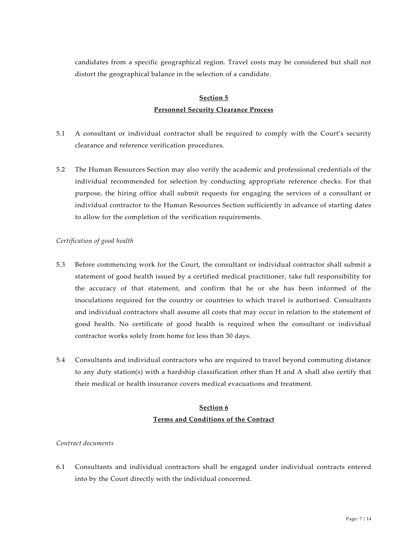candidates from a specific geographical region. Travel costs may be considered but shall not distort the geographical balance in the selection of a candidate.

# **Section 5 Personnel Security Clearance Process**

- 5.1 A consultant or individual contractor shall be required to comply with the Court's security clearance and reference verification procedures.
- 5.2 The Human Resources Section may also verify the academic and professional credentials of the individual recommended for selection by conducting appropriate reference checks. For that purpose, the hiring office shall submit requests for engaging the services of a consultant or individual contractor to the Human Resources Section sufficiently in advance of starting dates to allow for the completion of the verification requirements.

# *Certification of good health*

- 5.3 Before commencing work for the Court, the consultant or individual contractor shall submit a statement of good health issued by a certified medical practitioner, take full responsibility for the accuracy of that statement, and confirm that he or she has been informed of the inoculations required for the country or countries to which travel is authorised. Consultants and individual contractors shall assume all costs that may occur in relation to the statement of good health. No certificate of good health is required when the consultant or individual contractor works solely from home for less than 30 days.
- 5.4 Consultants and individual contractors who are required to travel beyond commuting distance to any duty station(s) with a hardship classification other than H and A shall also certify that their medical or health insurance covers medical evacuations and treatment.

# **Section 6 Terms and Conditions of the Contract**

## *Contract documents*

6.1 Consultants and individual contractors shall be engaged under individual contracts entered into by the Court directly with the individual concerned.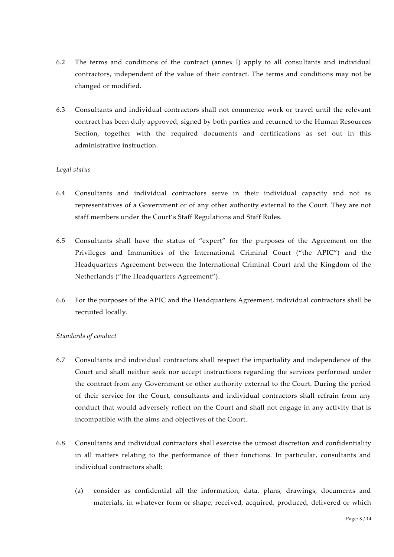- 6.2 The terms and conditions of the contract (annex I) apply to all consultants and individual contractors, independent of the value of their contract. The terms and conditions may not be changed or modified.
- 6.3 Consultants and individual contractors shall not commence work or travel until the relevant contract has been duly approved, signed by both parties and returned to the Human Resources Section, together with the required documents and certifications as set out in this administrative instruction.

## *Legal status*

- 6.4 Consultants and individual contractors serve in their individual capacity and not as representatives of a Government or of any other authority external to the Court. They are not staff members under the Court's Staff Regulations and Staff Rules.
- 6.5 Consultants shall have the status of "expert" for the purposes of the Agreement on the Privileges and Immunities of the International Criminal Court ("the APIC") and the Headquarters Agreement between the International Criminal Court and the Kingdom of the Netherlands ("the Headquarters Agreement").
- 6.6 For the purposes of the APIC and the Headquarters Agreement, individual contractors shall be recruited locally.

## *Standards of conduct*

- 6.7 Consultants and individual contractors shall respect the impartiality and independence of the Court and shall neither seek nor accept instructions regarding the services performed under the contract from any Government or other authority external to the Court. During the period of their service for the Court, consultants and individual contractors shall refrain from any conduct that would adversely reflect on the Court and shall not engage in any activity that is incompatible with the aims and objectives of the Court.
- 6.8 Consultants and individual contractors shall exercise the utmost discretion and confidentiality in all matters relating to the performance of their functions. In particular, consultants and individual contractors shall:
	- (a) consider as confidential all the information, data, plans, drawings, documents and materials, in whatever form or shape, received, acquired, produced, delivered or which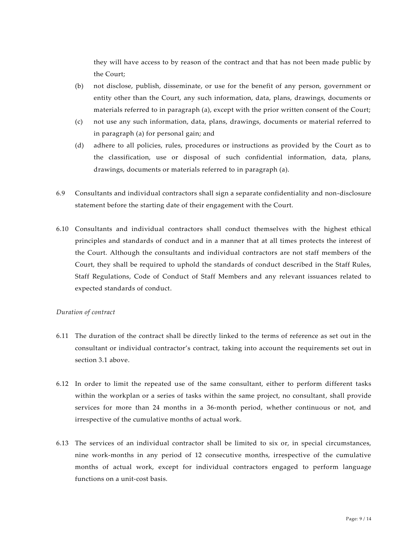they will have access to by reason of the contract and that has not been made public by the Court;

- (b) not disclose, publish, disseminate, or use for the benefit of any person, government or entity other than the Court, any such information, data, plans, drawings, documents or materials referred to in paragraph (a), except with the prior written consent of the Court;
- (c) not use any such information, data, plans, drawings, documents or material referred to in paragraph (a) for personal gain; and
- (d) adhere to all policies, rules, procedures or instructions as provided by the Court as to the classification, use or disposal of such confidential information, data, plans, drawings, documents or materials referred to in paragraph (a).
- 6.9 Consultants and individual contractors shall sign a separate confidentiality and non-disclosure statement before the starting date of their engagement with the Court.
- 6.10 Consultants and individual contractors shall conduct themselves with the highest ethical principles and standards of conduct and in a manner that at all times protects the interest of the Court. Although the consultants and individual contractors are not staff members of the Court, they shall be required to uphold the standards of conduct described in the Staff Rules, Staff Regulations, Code of Conduct of Staff Members and any relevant issuances related to expected standards of conduct.

## *Duration of contract*

- 6.11 The duration of the contract shall be directly linked to the terms of reference as set out in the consultant or individual contractor's contract, taking into account the requirements set out in section 3.1 above.
- 6.12 In order to limit the repeated use of the same consultant, either to perform different tasks within the workplan or a series of tasks within the same project, no consultant, shall provide services for more than 24 months in a 36-month period, whether continuous or not, and irrespective of the cumulative months of actual work.
- 6.13 The services of an individual contractor shall be limited to six or, in special circumstances, nine work-months in any period of 12 consecutive months, irrespective of the cumulative months of actual work, except for individual contractors engaged to perform language functions on a unit-cost basis.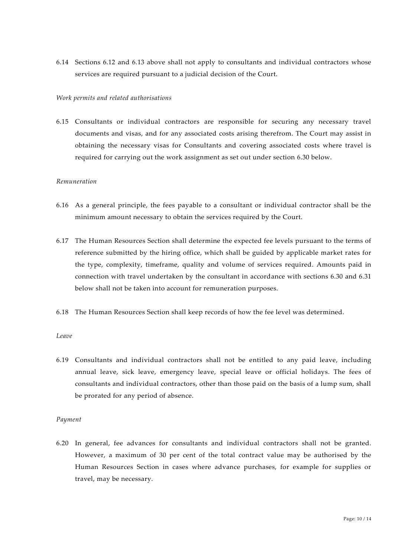6.14 Sections 6.12 and 6.13 above shall not apply to consultants and individual contractors whose services are required pursuant to a judicial decision of the Court.

#### *Work permits and related authorisations*

6.15 Consultants or individual contractors are responsible for securing any necessary travel documents and visas, and for any associated costs arising therefrom. The Court may assist in obtaining the necessary visas for Consultants and covering associated costs where travel is required for carrying out the work assignment as set out under section 6.30 below.

### *Remuneration*

- 6.16 As a general principle, the fees payable to a consultant or individual contractor shall be the minimum amount necessary to obtain the services required by the Court.
- 6.17 The Human Resources Section shall determine the expected fee levels pursuant to the terms of reference submitted by the hiring office, which shall be guided by applicable market rates for the type, complexity, timeframe, quality and volume of services required. Amounts paid in connection with travel undertaken by the consultant in accordance with sections 6.30 and 6.31 below shall not be taken into account for remuneration purposes.
- 6.18 The Human Resources Section shall keep records of how the fee level was determined.

#### *Leave*

6.19 Consultants and individual contractors shall not be entitled to any paid leave, including annual leave, sick leave, emergency leave, special leave or official holidays. The fees of consultants and individual contractors, other than those paid on the basis of a lump sum, shall be prorated for any period of absence.

#### *Payment*

6.20 In general, fee advances for consultants and individual contractors shall not be granted. However, a maximum of 30 per cent of the total contract value may be authorised by the Human Resources Section in cases where advance purchases, for example for supplies or travel, may be necessary.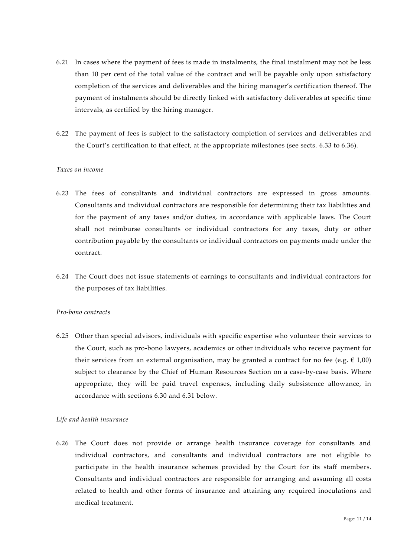- 6.21 In cases where the payment of fees is made in instalments, the final instalment may not be less than 10 per cent of the total value of the contract and will be payable only upon satisfactory completion of the services and deliverables and the hiring manager's certification thereof. The payment of instalments should be directly linked with satisfactory deliverables at specific time intervals, as certified by the hiring manager.
- 6.22 The payment of fees is subject to the satisfactory completion of services and deliverables and the Court's certification to that effect, at the appropriate milestones (see sects. 6.33 to 6.36).

### *Taxes on income*

- 6.23 The fees of consultants and individual contractors are expressed in gross amounts. Consultants and individual contractors are responsible for determining their tax liabilities and for the payment of any taxes and/or duties, in accordance with applicable laws. The Court shall not reimburse consultants or individual contractors for any taxes, duty or other contribution payable by the consultants or individual contractors on payments made under the contract.
- 6.24 The Court does not issue statements of earnings to consultants and individual contractors for the purposes of tax liabilities.

#### *Pro-bono contracts*

6.25 Other than special advisors, individuals with specific expertise who volunteer their services to the Court, such as pro-bono lawyers, academics or other individuals who receive payment for their services from an external organisation, may be granted a contract for no fee (e.g.  $\in$  1,00) subject to clearance by the Chief of Human Resources Section on a case-by-case basis. Where appropriate, they will be paid travel expenses, including daily subsistence allowance, in accordance with sections 6.30 and 6.31 below.

#### *Life and health insurance*

6.26 The Court does not provide or arrange health insurance coverage for consultants and individual contractors, and consultants and individual contractors are not eligible to participate in the health insurance schemes provided by the Court for its staff members. Consultants and individual contractors are responsible for arranging and assuming all costs related to health and other forms of insurance and attaining any required inoculations and medical treatment.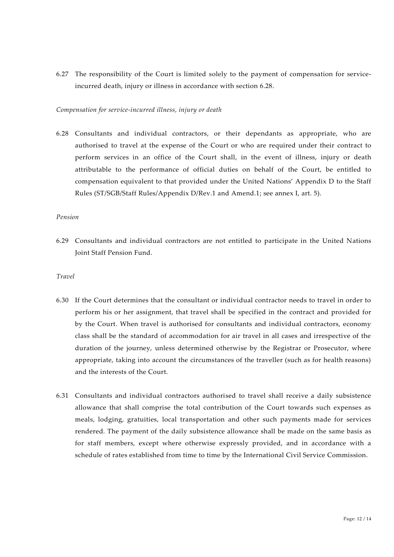6.27 The responsibility of the Court is limited solely to the payment of compensation for serviceincurred death, injury or illness in accordance with section 6.28.

#### *Compensation for service-incurred illness, injury or death*

6.28 Consultants and individual contractors, or their dependants as appropriate, who are authorised to travel at the expense of the Court or who are required under their contract to perform services in an office of the Court shall, in the event of illness, injury or death attributable to the performance of official duties on behalf of the Court, be entitled to compensation equivalent to that provided under the United Nations' Appendix D to the Staff Rules (ST/SGB/Staff Rules/Appendix D/Rev.1 and Amend.1; see annex I, art. 5).

### *Pension*

6.29 Consultants and individual contractors are not entitled to participate in the United Nations Joint Staff Pension Fund.

#### *Travel*

- 6.30 If the Court determines that the consultant or individual contractor needs to travel in order to perform his or her assignment, that travel shall be specified in the contract and provided for by the Court. When travel is authorised for consultants and individual contractors, economy class shall be the standard of accommodation for air travel in all cases and irrespective of the duration of the journey, unless determined otherwise by the Registrar or Prosecutor, where appropriate, taking into account the circumstances of the traveller (such as for health reasons) and the interests of the Court.
- 6.31 Consultants and individual contractors authorised to travel shall receive a daily subsistence allowance that shall comprise the total contribution of the Court towards such expenses as meals, lodging, gratuities, local transportation and other such payments made for services rendered. The payment of the daily subsistence allowance shall be made on the same basis as for staff members, except where otherwise expressly provided, and in accordance with a schedule of rates established from time to time by the International Civil Service Commission.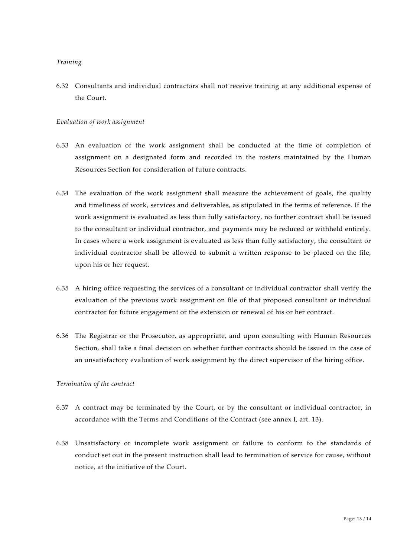### *Training*

6.32 Consultants and individual contractors shall not receive training at any additional expense of the Court.

#### *Evaluation of work assignment*

- 6.33 An evaluation of the work assignment shall be conducted at the time of completion of assignment on a designated form and recorded in the rosters maintained by the Human Resources Section for consideration of future contracts.
- 6.34 The evaluation of the work assignment shall measure the achievement of goals, the quality and timeliness of work, services and deliverables, as stipulated in the terms of reference. If the work assignment is evaluated as less than fully satisfactory, no further contract shall be issued to the consultant or individual contractor, and payments may be reduced or withheld entirely. In cases where a work assignment is evaluated as less than fully satisfactory, the consultant or individual contractor shall be allowed to submit a written response to be placed on the file, upon his or her request.
- 6.35 A hiring office requesting the services of a consultant or individual contractor shall verify the evaluation of the previous work assignment on file of that proposed consultant or individual contractor for future engagement or the extension or renewal of his or her contract.
- 6.36 The Registrar or the Prosecutor, as appropriate, and upon consulting with Human Resources Section, shall take a final decision on whether further contracts should be issued in the case of an unsatisfactory evaluation of work assignment by the direct supervisor of the hiring office.

#### *Termination of the contract*

- 6.37 A contract may be terminated by the Court, or by the consultant or individual contractor, in accordance with the Terms and Conditions of the Contract (see annex I, art. 13).
- 6.38 Unsatisfactory or incomplete work assignment or failure to conform to the standards of conduct set out in the present instruction shall lead to termination of service for cause, without notice, at the initiative of the Court.